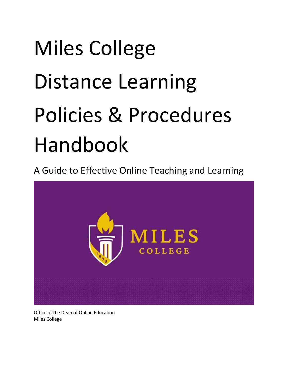# Miles College Distance Learning Policies & Procedures Handbook

A Guide to Effective Online Teaching and Learning



Office of the Dean of Online Education Miles College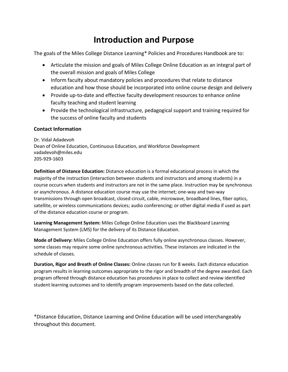## **Introduction and Purpose**

The goals of the Miles College Distance Learning\* Policies and Procedures Handbook are to:

- Articulate the mission and goals of Miles College Online Education as an integral part of the overall mission and goals of Miles College
- Inform faculty about mandatory policies and procedures that relate to distance education and how those should be incorporated into online course design and delivery
- Provide up-to-date and effective faculty development resources to enhance online faculty teaching and student learning
- Provide the technological infrastructure, pedagogical support and training required for the success of online faculty and students

### **Contact Information**

Dr. Vidal Adadevoh Dean of Online Education, Continuous Education, and Workforce Development vadadevoh@miles.edu 205-929-1603

**Definition of Distance Education:** Distance education is a formal educational process in which the majority of the instruction (interaction between students and instructors and among students) in a course occurs when students and instructors are not in the same place. Instruction may be synchronous or asynchronous. A distance education course may use the internet; one-way and two-way transmissions through open broadcast, closed circuit, cable, microwave, broadband lines, fiber optics, satellite, or wireless communications devices; audio conferencing; or other digital media if used as part of the distance education course or program.

**Learning Management System:** Miles College Online Education uses the Blackboard Learning Management System (LMS) for the delivery of its Distance Education.

**Mode of Delivery:** Miles College Online Education offers fully online asynchronous classes. However, some classes may require some online synchronous activities. These instances are indicated in the schedule of classes.

**Duration, Rigor and Breath of Online Classes:** Online classes run for 8 weeks. Each distance education program results in learning outcomes appropriate to the rigor and breadth of the degree awarded. Each program offered through distance education has procedures in place to collect and review identified student learning outcomes and to identify program improvements based on the data collected.

\*Distance Education, Distance Learning and Online Education will be used interchangeably throughout this document.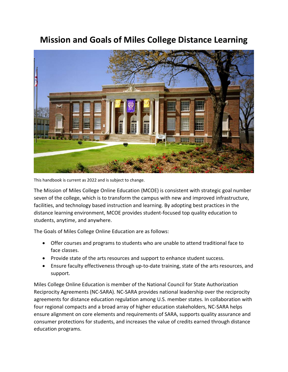## **Mission and Goals of Miles College Distance Learning**



This handbook is current as 2022 and is subject to change.

The Mission of Miles College Online Education (MCOE) is consistent with strategic goal number seven of the college, which is to transform the campus with new and improved infrastructure, facilities, and technology based instruction and learning. By adopting best practices in the distance learning environment, MCOE provides student-focused top quality education to students, anytime, and anywhere.

The Goals of Miles College Online Education are as follows:

- Offer courses and programs to students who are unable to attend traditional face to face classes.
- Provide state of the arts resources and support to enhance student success.
- Ensure faculty effectiveness through up-to-date training, state of the arts resources, and support.

Miles College Online Education is member of the National Council for State Authorization Reciprocity Agreements (NC-SARA). NC-SARA provides national leadership over the reciprocity agreements for distance education regulation among U.S. member states. In collaboration with four regional compacts and a broad array of higher education stakeholders, NC-SARA helps ensure alignment on core elements and requirements of SARA, supports quality assurance and consumer protections for students, and increases the value of credits earned through distance education programs.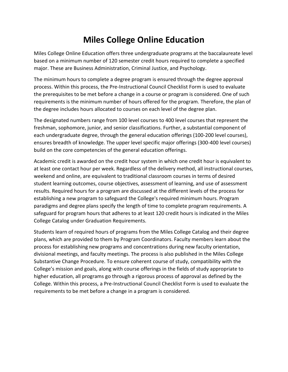# **Miles College Online Education**

Miles College Online Education offers three undergraduate programs at the baccalaureate level based on a minimum number of 120 semester credit hours required to complete a specified major. These are Business Administration, Criminal Justice, and Psychology.

The minimum hours to complete a degree program is ensured through the degree approval process. Within this process, the Pre-Instructional Council Checklist Form is used to evaluate the prerequisites to be met before a change in a course or program is considered. One of such requirements is the minimum number of hours offered for the program. Therefore, the plan of the degree includes hours allocated to courses on each level of the degree plan.

The designated numbers range from 100 level courses to 400 level courses that represent the freshman, sophomore, junior, and senior classifications. Further, a substantial component of each undergraduate degree, through the general education offerings (100-200 level courses), ensures breadth of knowledge. The upper level specific major offerings (300-400 level courses) build on the core competencies of the general education offerings.

Academic credit is awarded on the credit hour system in which one credit hour is equivalent to at least one contact hour per week. Regardless of the delivery method, all instructional courses, weekend and online, are equivalent to traditional classroom courses in terms of desired student learning outcomes, course objectives, assessment of learning, and use of assessment results. Required hours for a program are discussed at the different levels of the process for establishing a new program to safeguard the College's required minimum hours. Program paradigms and degree plans specify the length of time to complete program requirements. A safeguard for program hours that adheres to at least 120 credit hours is indicated in the Miles College Catalog under Graduation Requirements.

Students learn of required hours of programs from the Miles College Catalog and their degree plans, which are provided to them by Program Coordinators. Faculty members learn about the process for establishing new programs and concentrations during new faculty orientation, divisional meetings, and faculty meetings. The process is also published in the Miles College Substantive Change Procedure. To ensure coherent course of study, compatibility with the College's mission and goals, along with course offerings in the fields of study appropriate to higher education, all programs go through a rigorous process of approval as defined by the College. Within this process, a Pre-Instructional Council Checklist Form is used to evaluate the requirements to be met before a change in a program is considered.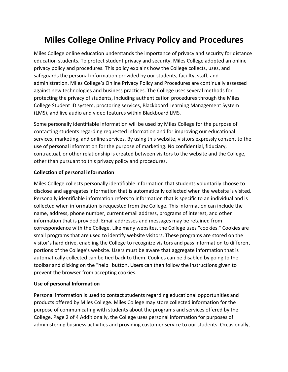# **Miles College Online Privacy Policy and Procedures**

Miles College online education understands the importance of privacy and security for distance education students. To protect student privacy and security, Miles College adopted an online privacy policy and procedures. This policy explains how the College collects, uses, and safeguards the personal information provided by our students, faculty, staff, and administration. Miles College's Online Privacy Policy and Procedures are continually assessed against new technologies and business practices. The College uses several methods for protecting the privacy of students, including authentication procedures through the Miles College Student ID system, proctoring services, Blackboard Learning Management System (LMS), and live audio and video features within Blackboard LMS.

Some personally identifiable information will be used by Miles College for the purpose of contacting students regarding requested information and for improving our educational services, marketing, and online services. By using this website, visitors expressly consent to the use of personal information for the purpose of marketing. No confidential, fiduciary, contractual, or other relationship is created between visitors to the website and the College, other than pursuant to this privacy policy and procedures.

### **Collection of personal information**

Miles College collects personally identifiable information that students voluntarily choose to disclose and aggregates information that is automatically collected when the website is visited. Personally identifiable information refers to information that is specific to an individual and is collected when information is requested from the College. This information can include the name, address, phone number, current email address, programs of interest, and other information that is provided. Email addresses and messages may be retained from correspondence with the College. Like many websites, the College uses "cookies." Cookies are small programs that are used to identify website visitors. These programs are stored on the visitor's hard drive, enabling the College to recognize visitors and pass information to different portions of the College's website. Users must be aware that aggregate information that is automatically collected can be tied back to them. Cookies can be disabled by going to the toolbar and clicking on the "help" button. Users can then follow the instructions given to prevent the browser from accepting cookies.

### **Use of personal Information**

Personal information is used to contact students regarding educational opportunities and products offered by Miles College. Miles College may store collected information for the purpose of communicating with students about the programs and services offered by the College. Page 2 of 4 Additionally, the College uses personal information for purposes of administering business activities and providing customer service to our students. Occasionally,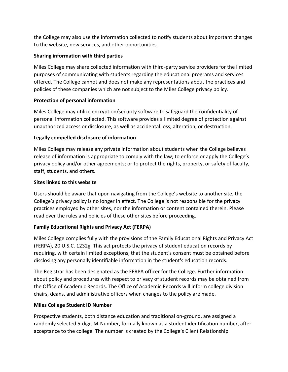the College may also use the information collected to notify students about important changes to the website, new services, and other opportunities.

### **Sharing information with third parties**

Miles College may share collected information with third-party service providers for the limited purposes of communicating with students regarding the educational programs and services offered. The College cannot and does not make any representations about the practices and policies of these companies which are not subject to the Miles College privacy policy.

### **Protection of personal information**

Miles College may utilize encryption/security software to safeguard the confidentiality of personal information collected. This software provides a limited degree of protection against unauthorized access or disclosure, as well as accidental loss, alteration, or destruction.

### **Legally compelled disclosure of information**

Miles College may release any private information about students when the College believes release of information is appropriate to comply with the law; to enforce or apply the College's privacy policy and/or other agreements; or to protect the rights, property, or safety of faculty, staff, students, and others.

### **Sites linked to this website**

Users should be aware that upon navigating from the College's website to another site, the College's privacy policy is no longer in effect. The College is not responsible for the privacy practices employed by other sites, nor the information or content contained therein. Please read over the rules and policies of these other sites before proceeding.

### **Family Educational Rights and Privacy Act (FERPA)**

Miles College complies fully with the provisions of the Family Educational Rights and Privacy Act (FERPA), 20 U.S.C. 1232g. This act protects the privacy of student education records by requiring, with certain limited exceptions, that the student's consent must be obtained before disclosing any personally identifiable information in the student's education records.

The Registrar has been designated as the FERPA officer for the College. Further information about policy and procedures with respect to privacy of student records may be obtained from the Office of Academic Records. The Office of Academic Records will inform college division chairs, deans, and administrative officers when changes to the policy are made.

### **Miles College Student ID Number**

Prospective students, both distance education and traditional on-ground, are assigned a randomly selected 5-digit M-Number, formally known as a student identification number, after acceptance to the college. The number is created by the College's Client Relationship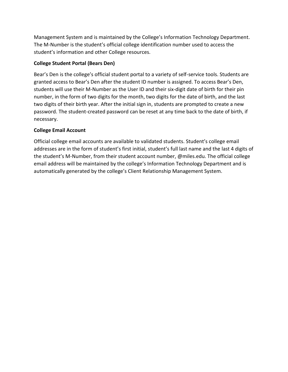Management System and is maintained by the College's Information Technology Department. The M-Number is the student's official college identification number used to access the student's information and other College resources.

### **College Student Portal (Bears Den)**

Bear's Den is the college's official student portal to a variety of self-service tools. Students are granted access to Bear's Den after the student ID number is assigned. To access Bear's Den, students will use their M-Number as the User ID and their six-digit date of birth for their pin number, in the form of two digits for the month, two digits for the date of birth, and the last two digits of their birth year. After the initial sign in, students are prompted to create a new password. The student-created password can be reset at any time back to the date of birth, if necessary.

### **College Email Account**

Official college email accounts are available to validated students. Student's college email addresses are in the form of student's first initial, student's full last name and the last 4 digits of the student's M-Number, from their student account number, @miles.edu. The official college email address will be maintained by the college's Information Technology Department and is automatically generated by the college's Client Relationship Management System.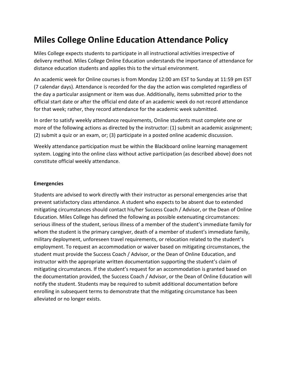# **Miles College Online Education Attendance Policy**

Miles College expects students to participate in all instructional activities irrespective of delivery method. Miles College Online Education understands the importance of attendance for distance education students and applies this to the virtual environment.

An academic week for Online courses is from Monday 12:00 am EST to Sunday at 11:59 pm EST (7 calendar days). Attendance is recorded for the day the action was completed regardless of the day a particular assignment or item was due. Additionally, items submitted prior to the official start date or after the official end date of an academic week do not record attendance for that week; rather, they record attendance for the academic week submitted.

In order to satisfy weekly attendance requirements, Online students must complete one or more of the following actions as directed by the instructor: (1) submit an academic assignment; (2) submit a quiz or an exam, or; (3) participate in a posted online academic discussion.

Weekly attendance participation must be within the Blackboard online learning management system. Logging into the online class without active participation (as described above) does not constitute official weekly attendance.

#### **Emergencies**

Students are advised to work directly with their instructor as personal emergencies arise that prevent satisfactory class attendance. A student who expects to be absent due to extended mitigating circumstances should contact his/her Success Coach / Advisor, or the Dean of Online Education. Miles College has defined the following as possible extenuating circumstances: serious illness of the student, serious illness of a member of the student's immediate family for whom the student is the primary caregiver, death of a member of student's immediate family, military deployment, unforeseen travel requirements, or relocation related to the student's employment. To request an accommodation or waiver based on mitigating circumstances, the student must provide the Success Coach / Advisor, or the Dean of Online Education, and instructor with the appropriate written documentation supporting the student's claim of mitigating circumstances. If the student's request for an accommodation is granted based on the documentation provided, the Success Coach / Advisor, or the Dean of Online Education will notify the student. Students may be required to submit additional documentation before enrolling in subsequent terms to demonstrate that the mitigating circumstance has been alleviated or no longer exists.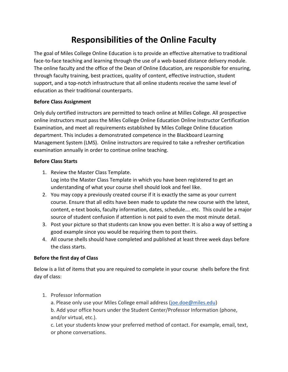# **Responsibilities of the Online Faculty**

The goal of Miles College Online Education is to provide an effective alternative to traditional face-to-face teaching and learning through the use of a web-based distance delivery module. The online faculty and the office of the Dean of Online Education, are responsible for ensuring, through faculty training, best practices, quality of content, effective instruction, student support, and a top-notch infrastructure that all online students receive the same level of education as their traditional counterparts.

### **Before Class Assignment**

Only duly certified instructors are permitted to teach online at Milles College. All prospective online instructors must pass the Miles College Online Education Online Instructor Certification Examination, and meet all requirements established by Miles College Online Education department. This includes a demonstrated competence in the Blackboard Learning Management System (LMS). Online instructors are required to take a refresher certification examination annually in order to continue online teaching.

### **Before Class Starts**

- 1. Review the Master Class Template. Log into the Master Class Template in which you have been registered to get an understanding of what your course shell should look and feel like.
- 2. You may copy a previously created course if it is exactly the same as your current course. Ensure that all edits have been made to update the new course with the latest, content, e-text books, faculty information, dates, schedule…. etc. This could be a major source of student confusion if attention is not paid to even the most minute detail.
- 3. Post your picture so that students can know you even better. It is also a way of setting a good example since you would be requiring them to post theirs.
- 4. All course shells should have completed and published at least three week days before the class starts.

### **Before the first day of Class**

Below is a list of items that you are required to complete in your course shells before the first day of class:

- 1. Professor Information
	- a. Please only use your Miles College email address [\(joe.doe@miles.edu\)](mailto:joe.doe@miles.edu)

b. Add your office hours under the Student Center/Professor Information (phone, and/or virtual, etc.).

c. Let your students know your preferred method of contact. For example, email, text, or phone conversations.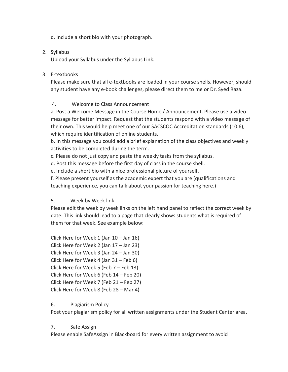d. Include a short bio with your photograph.

### 2. Syllabus

Upload your Syllabus under the Syllabus Link.

### 3. E-textbooks

Please make sure that all e-textbooks are loaded in your course shells. However, should any student have any e-book challenges, please direct them to me or Dr. Syed Raza.

### 4. Welcome to Class Announcement

a. Post a Welcome Message in the Course Home / Announcement. Please use a video message for better impact. Request that the students respond with a video message of their own. This would help meet one of our SACSCOC Accreditation standards (10.6), which require identification of online students.

b. In this message you could add a brief explanation of the class objectives and weekly activities to be completed during the term.

c. Please do not just copy and paste the weekly tasks from the syllabus.

d. Post this message before the first day of class in the course shell.

e. Include a short bio with a nice professional picture of yourself.

f. Please present yourself as the academic expert that you are (qualifications and teaching experience, you can talk about your passion for teaching here.)

### 5. Week by Week link

Please edit the week by week links on the left hand panel to reflect the correct week by date. This link should lead to a page that clearly shows students what is required of them for that week. See example below:

Click Here for Week 1 (Jan 10 – Jan 16) Click Here for Week 2 (Jan 17 – Jan 23) Click Here for Week 3 (Jan 24 – Jan 30) Click Here for Week 4 (Jan 31 – Feb 6) Click Here for Week 5 (Feb 7 – Feb 13) Click Here for Week 6 (Feb 14 – Feb 20) Click Here for Week 7 (Feb 21 – Feb 27) Click Here for Week 8 (Feb 28 – Mar 4)

### 6. Plagiarism Policy

Post your plagiarism policy for all written assignments under the Student Center area.

### 7. Safe Assign

Please enable SafeAssign in Blackboard for every written assignment to avoid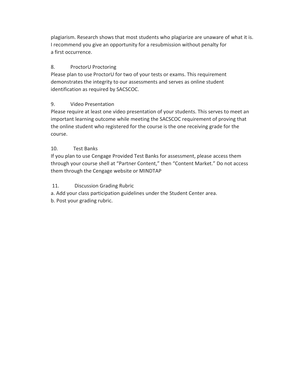plagiarism. Research shows that most students who plagiarize are unaware of what it is. I recommend you give an opportunity for a resubmission without penalty for a first occurrence.

### 8. ProctorU Proctoring

Please plan to use ProctorU for two of your tests or exams. This requirement demonstrates the integrity to our assessments and serves as online student identification as required by SACSCOC.

### 9. Video Presentation

Please require at least one video presentation of your students. This serves to meet an important learning outcome while meeting the SACSCOC requirement of proving that the online student who registered for the course is the one receiving grade for the course.

### 10. Test Banks

If you plan to use Cengage Provided Test Banks for assessment, please access them through your course shell at "Partner Content," then "Content Market." Do not access them through the Cengage website or MINDTAP

### 11. Discussion Grading Rubric

a. Add your class participation guidelines under the Student Center area.

b. Post your grading rubric.